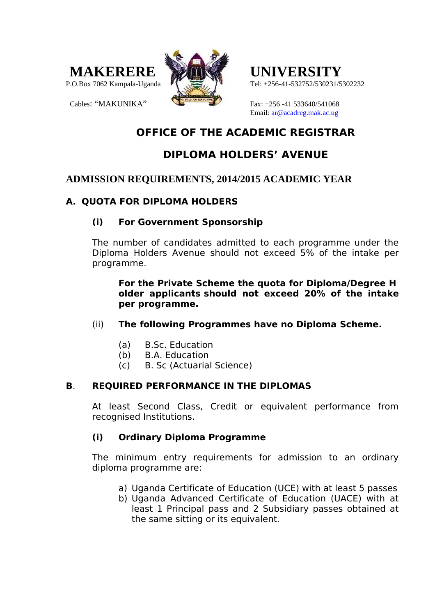



Tel: +256-41-532752/530231/5302232

Cables: "MAKUNIKA" Fax: +256 -41 533640/541068 Email: ar@acadreg.mak.ac.ug

# **OFFICE OF THE ACADEMIC REGISTRAR**

# **DIPLOMA HOLDERS' AVENUE**

## **ADMISSION REQUIREMENTS, 2014/2015 ACADEMIC YEAR**

### **A. QUOTA FOR DIPLOMA HOLDERS**

### **(i) For Government Sponsorship**

The number of candidates admitted to each programme under the Diploma Holders Avenue should not exceed 5% of the intake per programme.

**For the Private Scheme the quota for Diploma/Degree H older applicants should not exceed 20% of the intake per programme.**

- (ii) **The following Programmes have no Diploma Scheme.**
	- (a) B.Sc. Education
	- (b) B.A. Education
	- (c) B. Sc (Actuarial Science)

### **B**. **REQUIRED PERFORMANCE IN THE DIPLOMAS**

At least Second Class, Credit or equivalent performance from recognised Institutions.

### **(i) Ordinary Diploma Programme**

The minimum entry requirements for admission to an ordinary diploma programme are:

- a) Uganda Certificate of Education (UCE) with at least 5 passes
- b) Uganda Advanced Certificate of Education (UACE) with at least 1 Principal pass and 2 Subsidiary passes obtained at the same sitting or its equivalent.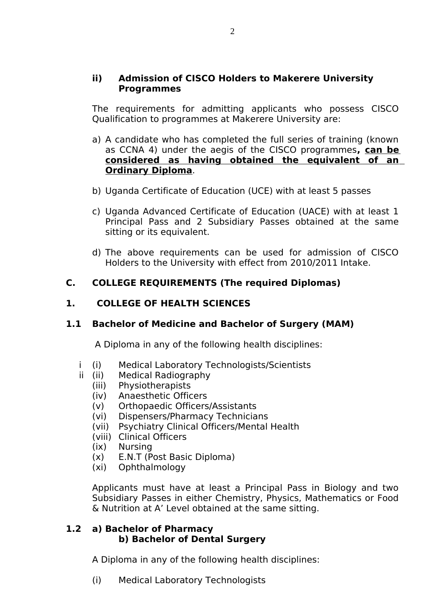#### **ii) Admission of CISCO Holders to Makerere University Programmes**

The requirements for admitting applicants who possess CISCO Qualification to programmes at Makerere University are:

- a) A candidate who has completed the full series of training (known as CCNA 4) under the aegis of the CISCO programmes**, can be considered as having obtained the equivalent of an Ordinary Diploma**.
- b) Uganda Certificate of Education (UCE) with at least 5 passes
- c) Uganda Advanced Certificate of Education (UACE) with at least 1 Principal Pass and 2 Subsidiary Passes obtained at the same sitting or its equivalent.
- d) The above requirements can be used for admission of CISCO Holders to the University with effect from 2010/2011 Intake.

### **C. COLLEGE REQUIREMENTS (The required Diplomas)**

#### **1. COLLEGE OF HEALTH SCIENCES**

#### **1.1 Bachelor of Medicine and Bachelor of Surgery (MAM)**

A Diploma in any of the following health disciplines:

- i (i) Medical Laboratory Technologists/Scientists
- ii (ii) Medical Radiography
	- (iii) Physiotherapists
	- (iv) Anaesthetic Officers
	- (v) Orthopaedic Officers/Assistants
	- (vi) Dispensers/Pharmacy Technicians
	- (vii) Psychiatry Clinical Officers/Mental Health
	- (viii) Clinical Officers
	- (ix) Nursing
	- (x) E.N.T (Post Basic Diploma)
	- (xi) Ophthalmology

Applicants must have at least a Principal Pass in Biology and two Subsidiary Passes in either Chemistry, Physics, Mathematics or Food & Nutrition at A' Level obtained at the same sitting.

#### **1.2 a) Bachelor of Pharmacy b) Bachelor of Dental Surgery**

A Diploma in any of the following health disciplines:

(i) Medical Laboratory Technologists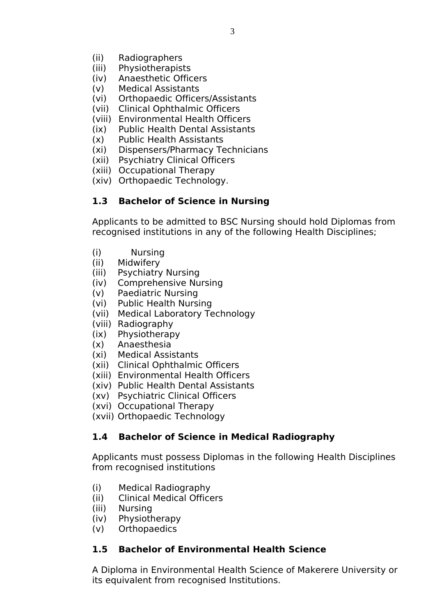- (ii) Radiographers
- (iii) Physiotherapists
- (iv) Anaesthetic Officers
- (v) Medical Assistants
- (vi) Orthopaedic Officers/Assistants
- (vii) Clinical Ophthalmic Officers
- (viii) Environmental Health Officers
- (ix) Public Health Dental Assistants
- (x) Public Health Assistants
- (xi) Dispensers/Pharmacy Technicians
- (xii) Psychiatry Clinical Officers
- (xiii) Occupational Therapy
- (xiv) Orthopaedic Technology.

### **1.3 Bachelor of Science in Nursing**

Applicants to be admitted to BSC Nursing should hold Diplomas from recognised institutions in any of the following Health Disciplines;

- (i) Nursing
- (ii) Midwifery
- (iii) Psychiatry Nursing
- (iv) Comprehensive Nursing
- (v) Paediatric Nursing
- (vi) Public Health Nursing
- (vii) Medical Laboratory Technology
- (viii) Radiography
- (ix) Physiotherapy
- (x) Anaesthesia
- (xi) Medical Assistants
- (xii) Clinical Ophthalmic Officers
- (xiii) Environmental Health Officers
- (xiv) Public Health Dental Assistants
- (xv) Psychiatric Clinical Officers
- (xvi) Occupational Therapy
- (xvii) Orthopaedic Technology

### **1.4 Bachelor of Science in Medical Radiography**

Applicants must possess Diplomas in the following Health Disciplines from recognised institutions

- (i) Medical Radiography
- (ii) Clinical Medical Officers
- (iii) Nursing
- (iv) Physiotherapy
- (v) Orthopaedics

### **1.5 Bachelor of Environmental Health Science**

A Diploma in Environmental Health Science of Makerere University or its equivalent from recognised Institutions.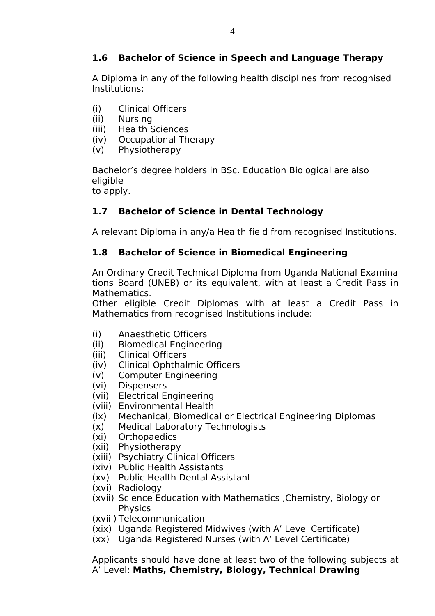# **1.6 Bachelor of Science in Speech and Language Therapy**

A Diploma in any of the following health disciplines from recognised Institutions:

- (i) Clinical Officers
- (ii) Nursing
- (iii) Health Sciences
- (iv) Occupational Therapy
- (v) Physiotherapy

Bachelor's degree holders in BSc. Education Biological are also eligible

to apply.

# **1.7 Bachelor of Science in Dental Technology**

A relevant Diploma in any/a Health field from recognised Institutions.

## **1.8 Bachelor of Science in Biomedical Engineering**

An Ordinary Credit Technical Diploma from Uganda National Examina tions Board (UNEB) or its equivalent, with at least a Credit Pass in Mathematics.

Other eligible Credit Diplomas with at least a Credit Pass in Mathematics from recognised Institutions include:

- (i) Anaesthetic Officers
- (ii) Biomedical Engineering
- (iii) Clinical Officers
- (iv) Clinical Ophthalmic Officers
- (v) Computer Engineering
- (vi) Dispensers
- (vii) Electrical Engineering
- (viii) Environmental Health
- (ix) Mechanical, Biomedical or Electrical Engineering Diplomas
- (x) Medical Laboratory Technologists
- (xi) Orthopaedics
- (xii) Physiotherapy
- (xiii) Psychiatry Clinical Officers
- (xiv) Public Health Assistants
- (xv) Public Health Dental Assistant
- (xvi) Radiology
- (xvii) Science Education with Mathematics ,Chemistry, Biology or **Physics**
- (xviii) Telecommunication
- (xix) Uganda Registered Midwives (with A' Level Certificate)
- (xx) Uganda Registered Nurses (with A' Level Certificate)

Applicants should have done at least two of the following subjects at A' Level: **Maths, Chemistry, Biology, Technical Drawing**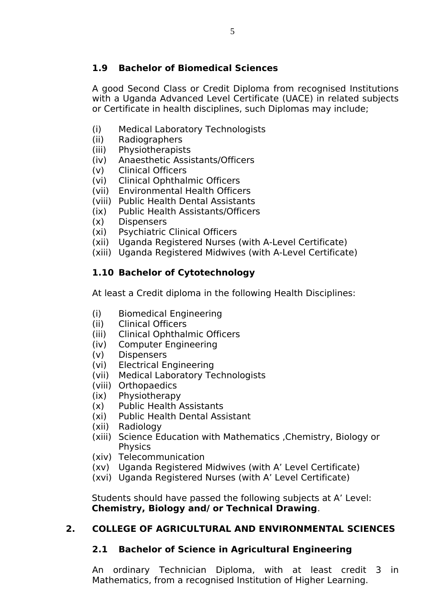## **1.9 Bachelor of Biomedical Sciences**

A good Second Class or Credit Diploma from recognised Institutions with a Uganda Advanced Level Certificate (UACE) in related subjects or Certificate in health disciplines, such Diplomas may include;

- (i) Medical Laboratory Technologists
- (ii) Radiographers
- (iii) Physiotherapists
- (iv) Anaesthetic Assistants/Officers
- (v) Clinical Officers
- (vi) Clinical Ophthalmic Officers
- (vii) Environmental Health Officers
- (viii) Public Health Dental Assistants
- (ix) Public Health Assistants/Officers
- (x) Dispensers
- (xi) Psychiatric Clinical Officers
- (xii) Uganda Registered Nurses (with A-Level Certificate)
- (xiii) Uganda Registered Midwives (with A-Level Certificate)

# **1.10 Bachelor of Cytotechnology**

At least a Credit diploma in the following Health Disciplines:

- (i) Biomedical Engineering
- (ii) Clinical Officers
- (iii) Clinical Ophthalmic Officers
- (iv) Computer Engineering
- (v) Dispensers
- (vi) Electrical Engineering
- (vii) Medical Laboratory Technologists
- (viii) Orthopaedics
- (ix) Physiotherapy
- (x) Public Health Assistants
- (xi) Public Health Dental Assistant
- (xii) Radiology
- (xiii) Science Education with Mathematics ,Chemistry, Biology or Physics
- (xiv) Telecommunication
- (xv) Uganda Registered Midwives (with A' Level Certificate)
- (xvi) Uganda Registered Nurses (with A' Level Certificate)

Students should have passed the following subjects at A' Level: **Chemistry, Biology and/ or Technical Drawing**.

### **2. COLLEGE OF AGRICULTURAL AND ENVIRONMENTAL SCIENCES**

### **2.1 Bachelor of Science in Agricultural Engineering**

An ordinary Technician Diploma, with at least credit 3 in Mathematics, from a recognised Institution of Higher Learning.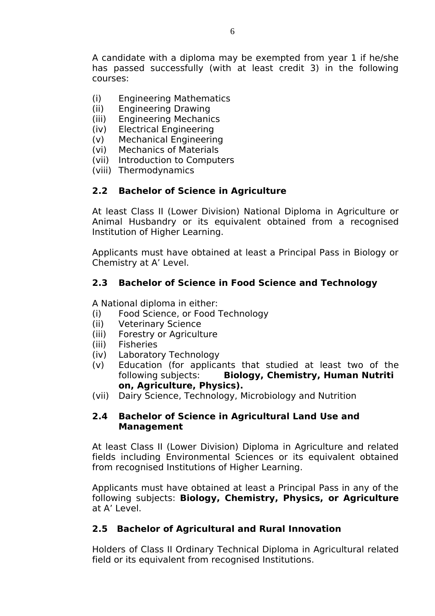A candidate with a diploma may be exempted from year 1 if he/she has passed successfully (with at least credit 3) in the following courses:

- (i) Engineering Mathematics
- (ii) Engineering Drawing
- (iii) Engineering Mechanics
- (iv) Electrical Engineering
- (v) Mechanical Engineering
- (vi) Mechanics of Materials
- (vii) Introduction to Computers
- (viii) Thermodynamics

### **2.2 Bachelor of Science in Agriculture**

At least Class II (Lower Division) National Diploma in Agriculture or Animal Husbandry or its equivalent obtained from a recognised Institution of Higher Learning.

Applicants must have obtained at least a Principal Pass in Biology or Chemistry at A' Level.

### **2.3 Bachelor of Science in Food Science and Technology**

A National diploma in either:

- (i) Food Science, or Food Technology
- (ii) Veterinary Science
- (iii) Forestry or Agriculture
- (iii) Fisheries
- (iv) Laboratory Technology
- (v) Education (for applicants that studied at least two of the following subjects: **Biology, Chemistry, Human Nutriti on, Agriculture, Physics).**
- (vii) Dairy Science, Technology, Microbiology and Nutrition

#### **2.4 Bachelor of Science in Agricultural Land Use and Management**

At least Class II (Lower Division) Diploma in Agriculture and related fields including Environmental Sciences or its equivalent obtained from recognised Institutions of Higher Learning.

Applicants must have obtained at least a Principal Pass in any of the following subjects: **Biology, Chemistry, Physics, or Agriculture** at A' Level.

### **2.5 Bachelor of Agricultural and Rural Innovation**

Holders of Class II Ordinary Technical Diploma in Agricultural related field or its equivalent from recognised Institutions.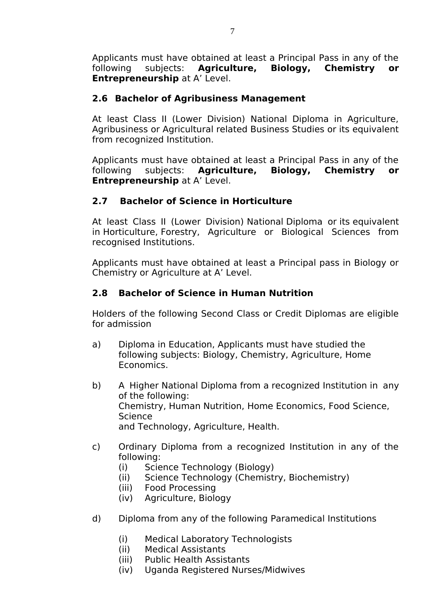Applicants must have obtained at least a Principal Pass in any of the following subjects: **Agriculture, Biology, Chemistry or Entrepreneurship** at A' Level.

### **2.6 Bachelor of Agribusiness Management**

At least Class II (Lower Division) National Diploma in Agriculture, Agribusiness or Agricultural related Business Studies or its equivalent from recognized Institution.

Applicants must have obtained at least a Principal Pass in any of the following subjects: **Agriculture, Biology, Chemistry or Entrepreneurship** at A' Level.

## **2.7 Bachelor of Science in Horticulture**

At least Class II (Lower Division) National Diploma or its equivalent in Horticulture, Forestry, Agriculture or Biological Sciences from recognised Institutions.

Applicants must have obtained at least a Principal pass in Biology or Chemistry or Agriculture at A' Level.

## **2.8 Bachelor of Science in Human Nutrition**

Holders of the following Second Class or Credit Diplomas are eligible for admission

- a) Diploma in Education, Applicants must have studied the following subjects: Biology, Chemistry, Agriculture, Home Economics.
- b) A Higher National Diploma from a recognized Institution in any of the following: Chemistry, Human Nutrition, Home Economics, Food Science, Science and Technology, Agriculture, Health.
- c) Ordinary Diploma from a recognized Institution in any of the following:
	- (i) Science Technology (Biology)
	- (ii) Science Technology (Chemistry, Biochemistry)
	- (iii) Food Processing
	- (iv) Agriculture, Biology
- d) Diploma from any of the following Paramedical Institutions
	- (i) Medical Laboratory Technologists
	- (ii) Medical Assistants
	- (iii) Public Health Assistants
	- (iv) Uganda Registered Nurses/Midwives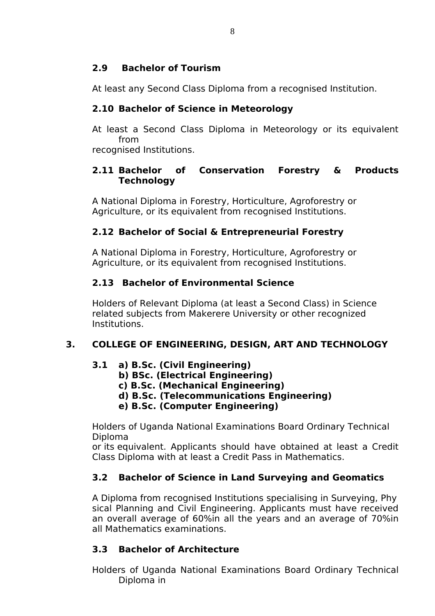# **2.9 Bachelor of Tourism**

At least any Second Class Diploma from a recognised Institution.

# **2.10 Bachelor of Science in Meteorology**

At least a Second Class Diploma in Meteorology or its equivalent from

recognised Institutions.

### **2.11 Bachelor of Conservation Forestry & Products Technology**

A National Diploma in Forestry, Horticulture, Agroforestry or Agriculture, or its equivalent from recognised Institutions.

# **2.12 Bachelor of Social & Entrepreneurial Forestry**

A National Diploma in Forestry, Horticulture, Agroforestry or Agriculture, or its equivalent from recognised Institutions.

# **2.13 Bachelor of Environmental Science**

Holders of Relevant Diploma (at least a Second Class) in Science related subjects from Makerere University or other recognized Institutions.

# **3. COLLEGE OF ENGINEERING, DESIGN, ART AND TECHNOLOGY**

### **3.1 a) B.Sc. (Civil Engineering)**

- **b) BSc. (Electrical Engineering)**
- **c) B.Sc. (Mechanical Engineering)**
- **d) B.Sc. (Telecommunications Engineering)**
- **e) B.Sc. (Computer Engineering)**

Holders of Uganda National Examinations Board Ordinary Technical Diploma

or its equivalent. Applicants should have obtained at least a Credit Class Diploma with at least a Credit Pass in Mathematics.

# **3.2 Bachelor of Science in Land Surveying and Geomatics**

A Diploma from recognised Institutions specialising in Surveying, Phy sical Planning and Civil Engineering. Applicants must have received an overall average of 60%in all the years and an average of 70%in all Mathematics examinations.

# **3.3 Bachelor of Architecture**

Holders of Uganda National Examinations Board Ordinary Technical Diploma in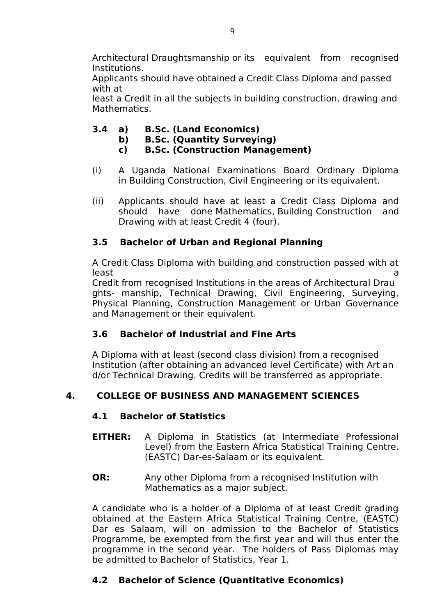Architectural Draughtsmanship or its equivalent from recognised Institutions.

Applicants should have obtained a Credit Class Diploma and passed with at

least a Credit in all the subjects in building construction, drawing and Mathematics.

- **3.4 a) B.Sc. (Land Economics)**
	- **b) B.Sc. (Quantity Surveying)**
	- **c) B.Sc. (Construction Management)**
- (i) A Uganda National Examinations Board Ordinary Diploma in Building Construction, Civil Engineering or its equivalent.
- (ii) Applicants should have at least a Credit Class Diploma and should have done Mathematics, Building Construction and Drawing with at least Credit 4 (four).

# **3.5 Bachelor of Urban and Regional Planning**

A Credit Class Diploma with building and construction passed with at least and the contract of the contract of the contract of the contract of the contract of the contract of the c

Credit from recognised Institutions in the areas of Architectural Drau ghts- manship, Technical Drawing, Civil Engineering, Surveying, Physical Planning, Construction Management or Urban Governance and Management or their equivalent.

# **3.6 Bachelor of Industrial and Fine Arts**

A Diploma with at least (second class division) from a recognised Institution (after obtaining an advanced level Certificate) with Art an d/or Technical Drawing. Credits will be transferred as appropriate.

# **4. COLLEGE OF BUSINESS AND MANAGEMENT SCIENCES**

# **4.1 Bachelor of Statistics**

- **EITHER:** A Diploma in Statistics (at Intermediate Professional Level) from the Eastern Africa Statistical Training Centre, (EASTC) Dar-es-Salaam or its equivalent.
- **OR:** Any other Diploma from a recognised Institution with Mathematics as a major subject.

A candidate who is a holder of a Diploma of at least Credit grading obtained at the Eastern Africa Statistical Training Centre, (EASTC) Dar es Salaam, will on admission to the Bachelor of Statistics Programme, be exempted from the first year and will thus enter the programme in the second year. The holders of Pass Diplomas may be admitted to Bachelor of Statistics, Year 1.

# **4.2 Bachelor of Science (Quantitative Economics)**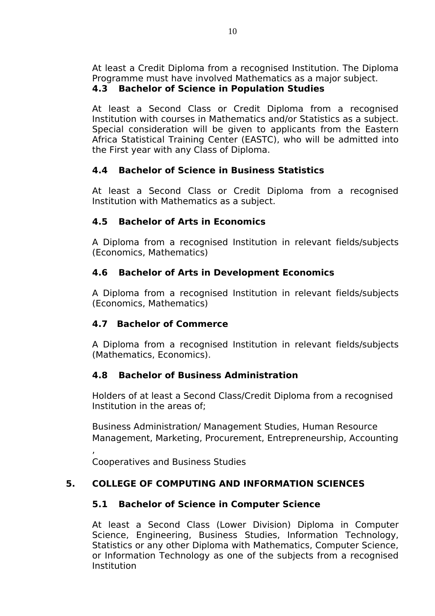At least a Credit Diploma from a recognised Institution. The Diploma Programme must have involved Mathematics as a major subject.

## **4.3 Bachelor of Science in Population Studies**

At least a Second Class or Credit Diploma from a recognised Institution with courses in Mathematics and/or Statistics as a subject. Special consideration will be given to applicants from the Eastern Africa Statistical Training Center (EASTC), who will be admitted into the First year with any Class of Diploma.

# **4.4 Bachelor of Science in Business Statistics**

At least a Second Class or Credit Diploma from a recognised Institution with Mathematics as a subject.

# **4.5 Bachelor of Arts in Economics**

A Diploma from a recognised Institution in relevant fields/subjects (Economics, Mathematics)

# **4.6 Bachelor of Arts in Development Economics**

A Diploma from a recognised Institution in relevant fields/subjects (Economics, Mathematics)

# **4.7 Bachelor of Commerce**

A Diploma from a recognised Institution in relevant fields/subjects (Mathematics, Economics).

# **4.8 Bachelor of Business Administration**

Holders of at least a Second Class/Credit Diploma from a recognised Institution in the areas of;

Business Administration/ Management Studies, Human Resource Management, Marketing, Procurement, Entrepreneurship, Accounting

Cooperatives and Business Studies

,

# **5. COLLEGE OF COMPUTING AND INFORMATION SCIENCES**

# **5.1 Bachelor of Science in Computer Science**

At least a Second Class (Lower Division) Diploma in Computer Science, Engineering, Business Studies, Information Technology, Statistics or any other Diploma with Mathematics, Computer Science, or Information Technology as one of the subjects from a recognised Institution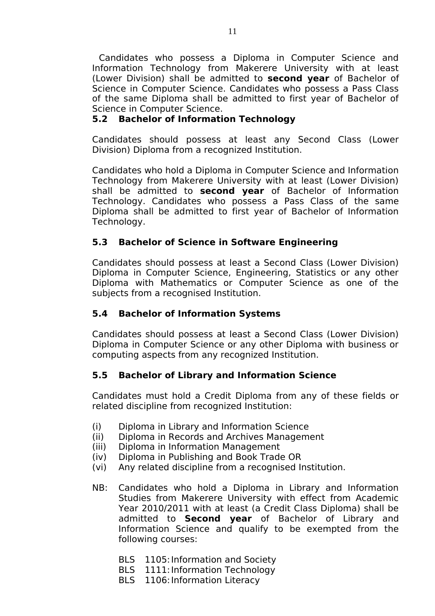Candidates who possess a Diploma in Computer Science and Information Technology from Makerere University with at least (Lower Division) shall be admitted to **second year** of Bachelor of Science in Computer Science. Candidates who possess a Pass Class of the same Diploma shall be admitted to first year of Bachelor of Science in Computer Science.

#### **5.2 Bachelor of Information Technology**

Candidates should possess at least any Second Class (Lower Division) Diploma from a recognized Institution.

Candidates who hold a Diploma in Computer Science and Information Technology from Makerere University with at least (Lower Division) shall be admitted to **second year** of Bachelor of Information Technology. Candidates who possess a Pass Class of the same Diploma shall be admitted to first year of Bachelor of Information Technology.

#### **5.3 Bachelor of Science in Software Engineering**

Candidates should possess at least a Second Class (Lower Division) Diploma in Computer Science, Engineering, Statistics or any other Diploma with Mathematics or Computer Science as one of the subjects from a recognised Institution.

#### **5.4 Bachelor of Information Systems**

Candidates should possess at least a Second Class (Lower Division) Diploma in Computer Science or any other Diploma with business or computing aspects from any recognized Institution.

### **5.5 Bachelor of Library and Information Science**

Candidates must hold a Credit Diploma from any of these fields or related discipline from recognized Institution:

- (i) Diploma in Library and Information Science
- (ii) Diploma in Records and Archives Management
- (iii) Diploma in Information Management
- (iv) Diploma in Publishing and Book Trade OR
- (vi) Any related discipline from a recognised Institution.
- NB: Candidates who hold a Diploma in Library and Information Studies from Makerere University with effect from Academic Year 2010/2011 with at least (a Credit Class Diploma) shall be admitted to **Second year** of Bachelor of Library and Information Science and qualify to be exempted from the following courses:
	- BLS 1105: Information and Society
	- BLS 1111: Information Technology
	- BLS 1106: Information Literacy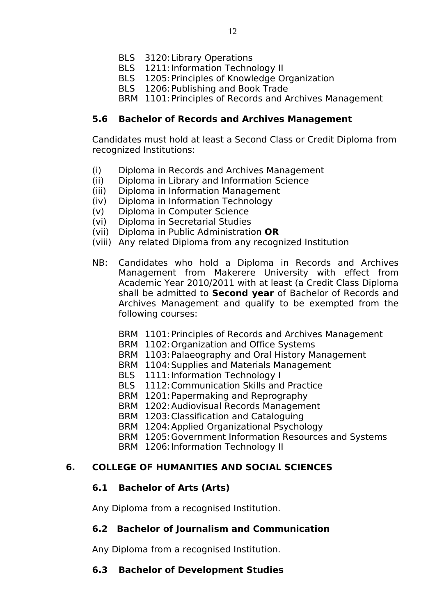- BLS 3120:Library Operations
- BLS 1211: Information Technology II
- BLS 1205:Principles of Knowledge Organization
- BLS 1206: Publishing and Book Trade
- BRM 1101:Principles of Records and Archives Management

#### **5.6 Bachelor of Records and Archives Management**

Candidates must hold at least a Second Class or Credit Diploma from recognized Institutions:

- (i) Diploma in Records and Archives Management
- (ii) Diploma in Library and Information Science
- (iii) Diploma in Information Management
- (iv) Diploma in Information Technology
- (v) Diploma in Computer Science
- (vi) Diploma in Secretarial Studies
- (vii) Diploma in Public Administration **OR**
- (viii) Any related Diploma from any recognized Institution
- NB: Candidates who hold a Diploma in Records and Archives Management from Makerere University with effect from Academic Year 2010/2011 with at least (a Credit Class Diploma shall be admitted to **Second year** of Bachelor of Records and Archives Management and qualify to be exempted from the following courses:
	- BRM 1101:Principles of Records and Archives Management
	- BRM 1102:Organization and Office Systems
	- BRM 1103:Palaeography and Oral History Management
	- BRM 1104:Supplies and Materials Management
	- BLS 1111: Information Technology I
	- BLS 1112:Communication Skills and Practice
	- BRM 1201:Papermaking and Reprography
	- BRM 1202:Audiovisual Records Management
	- BRM 1203:Classification and Cataloguing
	- BRM 1204:Applied Organizational Psychology
	- BRM 1205:Government Information Resources and Systems
	- BRM 1206: Information Technology II

#### **6. COLLEGE OF HUMANITIES AND SOCIAL SCIENCES**

#### **6.1 Bachelor of Arts (Arts)**

Any Diploma from a recognised Institution.

#### **6.2 Bachelor of Journalism and Communication**

Any Diploma from a recognised Institution.

#### **6.3 Bachelor of Development Studies**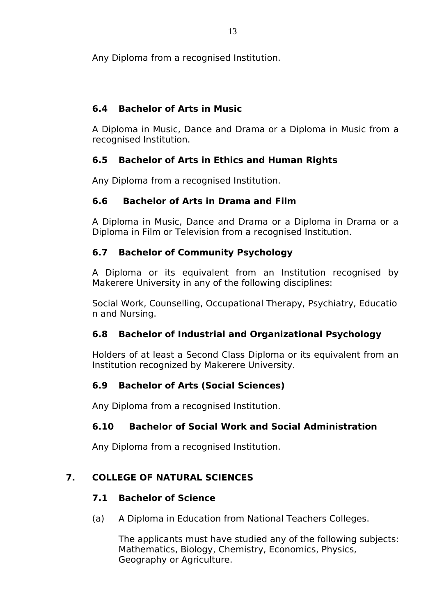Any Diploma from a recognised Institution.

# **6.4 Bachelor of Arts in Music**

A Diploma in Music, Dance and Drama or a Diploma in Music from a recognised Institution.

# **6.5 Bachelor of Arts in Ethics and Human Rights**

Any Diploma from a recognised Institution.

## **6.6 Bachelor of Arts in Drama and Film**

A Diploma in Music, Dance and Drama or a Diploma in Drama or a Diploma in Film or Television from a recognised Institution.

# **6.7 Bachelor of Community Psychology**

A Diploma or its equivalent from an Institution recognised by Makerere University in any of the following disciplines:

Social Work, Counselling, Occupational Therapy, Psychiatry, Educatio n and Nursing.

# **6.8 Bachelor of Industrial and Organizational Psychology**

Holders of at least a Second Class Diploma or its equivalent from an Institution recognized by Makerere University.

# **6.9 Bachelor of Arts (Social Sciences)**

Any Diploma from a recognised Institution.

# **6.10 Bachelor of Social Work and Social Administration**

Any Diploma from a recognised Institution.

# **7. COLLEGE OF NATURAL SCIENCES**

# **7.1 Bachelor of Science**

(a) A Diploma in Education from National Teachers Colleges.

The applicants must have studied any of the following subjects: Mathematics, Biology, Chemistry, Economics, Physics, Geography or Agriculture.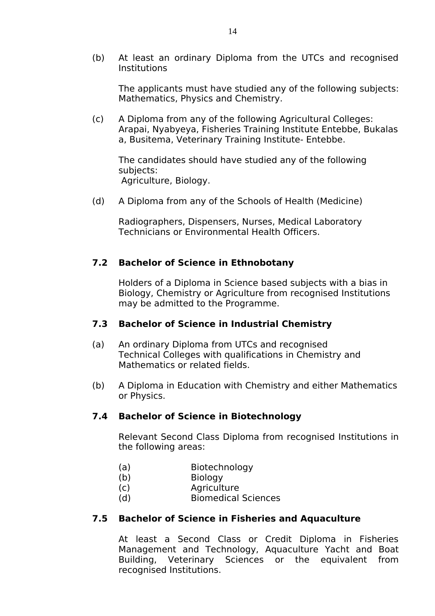(b) At least an ordinary Diploma from the UTCs and recognised Institutions

The applicants must have studied any of the following subjects: Mathematics, Physics and Chemistry.

(c) A Diploma from any of the following Agricultural Colleges: Arapai, Nyabyeya, Fisheries Training Institute Entebbe, Bukalas a, Busitema, Veterinary Training Institute- Entebbe.

The candidates should have studied any of the following subjects: Agriculture, Biology.

(d) A Diploma from any of the Schools of Health (Medicine)

Radiographers, Dispensers, Nurses, Medical Laboratory Technicians or Environmental Health Officers.

#### **7.2 Bachelor of Science in Ethnobotany**

Holders of a Diploma in Science based subjects with a bias in Biology, Chemistry or Agriculture from recognised Institutions may be admitted to the Programme.

#### **7.3 Bachelor of Science in Industrial Chemistry**

- (a) An ordinary Diploma from UTCs and recognised Technical Colleges with qualifications in Chemistry and Mathematics or related fields.
- (b) A Diploma in Education with Chemistry and either Mathematics or Physics.

### **7.4 Bachelor of Science in Biotechnology**

Relevant Second Class Diploma from recognised Institutions in the following areas:

- (a) Biotechnology
- (b) Biology
- (c) Agriculture
- (d) Biomedical Sciences

#### **7.5 Bachelor of Science in Fisheries and Aquaculture**

At least a Second Class or Credit Diploma in Fisheries Management and Technology, Aquaculture Yacht and Boat Building, Veterinary Sciences or the equivalent from recognised Institutions.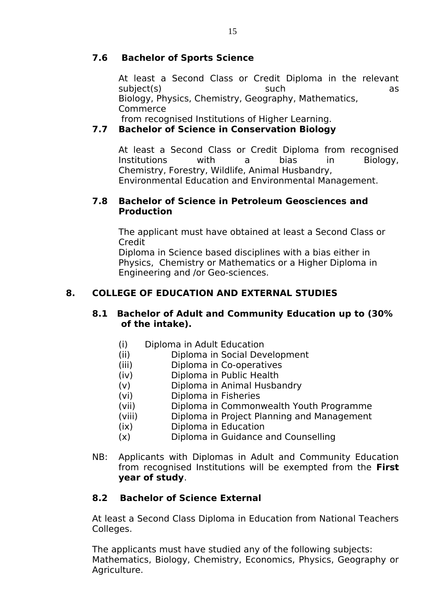### **7.6 Bachelor of Sports Science**

At least a Second Class or Credit Diploma in the relevant subject(s) such as Biology, Physics, Chemistry, Geography, Mathematics, Commerce

from recognised Institutions of Higher Learning.

# **7.7 Bachelor of Science in Conservation Biology**

At least a Second Class or Credit Diploma from recognised Institutions with a bias in Biology, Chemistry, Forestry, Wildlife, Animal Husbandry, Environmental Education and Environmental Management.

#### **7.8 Bachelor of Science in Petroleum Geosciences and Production**

The applicant must have obtained at least a Second Class or Credit

Diploma in Science based disciplines with a bias either in Physics, Chemistry or Mathematics or a Higher Diploma in Engineering and /or Geo-sciences.

# **8. COLLEGE OF EDUCATION AND EXTERNAL STUDIES**

#### **8.1 Bachelor of Adult and Community Education up to (30% of the intake).**

- (i) Diploma in Adult Education
- (ii) Diploma in Social Development
- (iii) Diploma in Co-operatives
- (iv) Diploma in Public Health
- (v) Diploma in Animal Husbandry
- (vi) Diploma in Fisheries
- (vii) Diploma in Commonwealth Youth Programme
- (viii) Diploma in Project Planning and Management
- (ix) Diploma in Education
- (x) Diploma in Guidance and Counselling
- NB: Applicants with Diplomas in Adult and Community Education from recognised Institutions will be exempted from the **First year of study**.

### **8.2 Bachelor of Science External**

At least a Second Class Diploma in Education from National Teachers Colleges.

The applicants must have studied any of the following subjects: Mathematics, Biology, Chemistry, Economics, Physics, Geography or Agriculture.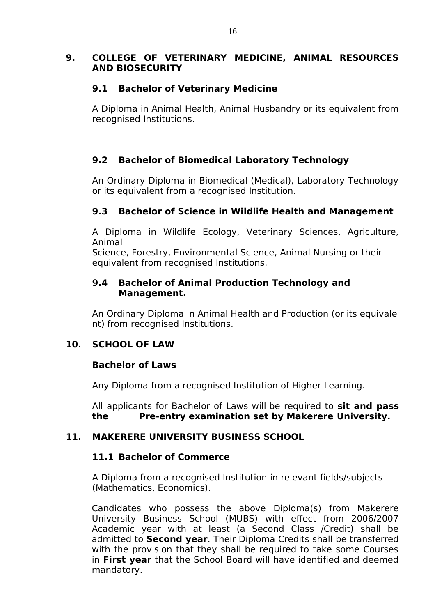#### **9. COLLEGE OF VETERINARY MEDICINE, ANIMAL RESOURCES AND BIOSECURITY**

### **9.1 Bachelor of Veterinary Medicine**

A Diploma in Animal Health, Animal Husbandry or its equivalent from recognised Institutions.

# **9.2 Bachelor of Biomedical Laboratory Technology**

An Ordinary Diploma in Biomedical (Medical), Laboratory Technology or its equivalent from a recognised Institution.

## **9.3 Bachelor of Science in Wildlife Health and Management**

A Diploma in Wildlife Ecology, Veterinary Sciences, Agriculture, Animal

Science, Forestry, Environmental Science, Animal Nursing or their equivalent from recognised Institutions.

#### **9.4 Bachelor of Animal Production Technology and Management.**

An Ordinary Diploma in Animal Health and Production (or its equivale nt) from recognised Institutions.

### **10. SCHOOL OF LAW**

#### **Bachelor of Laws**

Any Diploma from a recognised Institution of Higher Learning.

All applicants for Bachelor of Laws will be required to **sit and pass the Pre-entry examination set by Makerere University.**

#### **11. MAKERERE UNIVERSITY BUSINESS SCHOOL**

#### **11.1 Bachelor of Commerce**

A Diploma from a recognised Institution in relevant fields/subjects (Mathematics, Economics).

Candidates who possess the above Diploma(s) from Makerere University Business School (MUBS) with effect from 2006/2007 Academic year with at least (a Second Class /Credit) shall be admitted to **Second year**. Their Diploma Credits shall be transferred with the provision that they shall be required to take some Courses in **First year** that the School Board will have identified and deemed mandatory.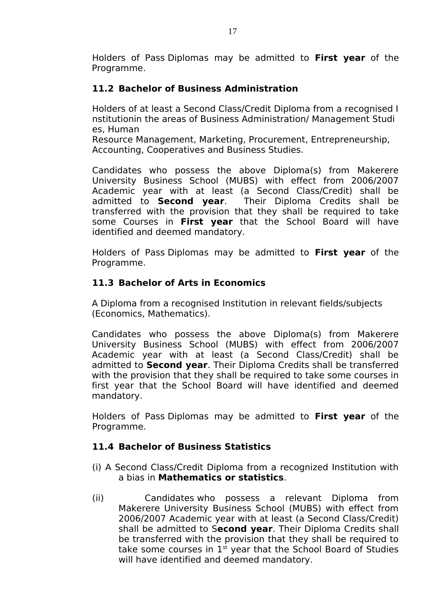Holders of Pass Diplomas may be admitted to **First year** of the Programme.

### **11.2 Bachelor of Business Administration**

Holders of at least a Second Class/Credit Diploma from a recognised I nstitutionin the areas of Business Administration/ Management Studi es, Human

Resource Management, Marketing, Procurement, Entrepreneurship, Accounting, Cooperatives and Business Studies.

Candidates who possess the above Diploma(s) from Makerere University Business School (MUBS) with effect from 2006/2007 Academic year with at least (a Second Class/Credit) shall be admitted to **Second vear**. Their Diploma Credits shall be Their Diploma Credits shall be transferred with the provision that they shall be required to take some Courses in **First year** that the School Board will have identified and deemed mandatory.

Holders of Pass Diplomas may be admitted to **First year** of the Programme.

### **11.3 Bachelor of Arts in Economics**

A Diploma from a recognised Institution in relevant fields/subjects (Economics, Mathematics).

Candidates who possess the above Diploma(s) from Makerere University Business School (MUBS) with effect from 2006/2007 Academic year with at least (a Second Class/Credit) shall be admitted to **Second year**. Their Diploma Credits shall be transferred with the provision that they shall be required to take some courses in first year that the School Board will have identified and deemed mandatory.

Holders of Pass Diplomas may be admitted to **First year** of the Programme.

### **11.4 Bachelor of Business Statistics**

- (i) A Second Class/Credit Diploma from a recognized Institution with a bias in **Mathematics or statistics**.
- (ii) Candidates who possess a relevant Diploma from Makerere University Business School (MUBS) with effect from 2006/2007 Academic year with at least (a Second Class/Credit) shall be admitted to S**econd year**. Their Diploma Credits shall be transferred with the provision that they shall be required to take some courses in  $1<sup>st</sup>$  year that the School Board of Studies will have identified and deemed mandatory.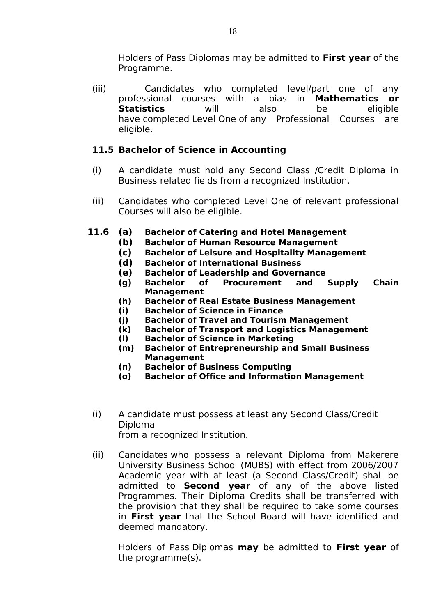Holders of Pass Diplomas may be admitted to **First year** of the Programme.

(iii) Candidates who completed level/part one of any professional courses with a bias in **Mathematics or Statistics** will also be eligible have completed Level One of any Professional Courses are eligible.

## **11.5 Bachelor of Science in Accounting**

- (i) A candidate must hold any Second Class /Credit Diploma in Business related fields from a recognized Institution.
- (ii) Candidates who completed Level One of relevant professional Courses will also be eligible.
- **11.6 (a) Bachelor of Catering and Hotel Management**
	- **(b) Bachelor of Human Resource Management**
	- **(c) Bachelor of Leisure and Hospitality Management**
	- **(d) Bachelor of International Business**
	- **(e) Bachelor of Leadership and Governance**
	- **(g) Bachelor of Procurement and Supply Chain Management**
	- **(h) Bachelor of Real Estate Business Management**
	- **(i) Bachelor of Science in Finance**
	- **(j) Bachelor of Travel and Tourism Management**
	- **(k) Bachelor of Transport and Logistics Management**
	- **(l) Bachelor of Science in Marketing**
	- **(m) Bachelor of Entrepreneurship and Small Business Management**
	- **(n) Bachelor of Business Computing**
	- **(o) Bachelor of Office and Information Management**
	- (i) A candidate must possess at least any Second Class/Credit Diploma from a recognized Institution.
	- (ii) Candidates who possess a relevant Diploma from Makerere University Business School (MUBS) with effect from 2006/2007 Academic year with at least (a Second Class/Credit) shall be admitted to **Second year** of any of the above listed Programmes. Their Diploma Credits shall be transferred with the provision that they shall be required to take some courses in **First year** that the School Board will have identified and deemed mandatory.

Holders of Pass Diplomas **may** be admitted to **First year** of the programme(s).